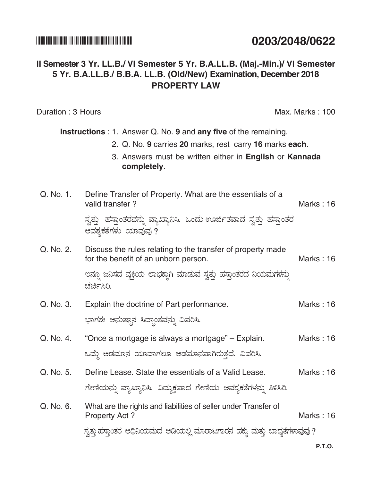#### 

# 0203/2048/0622

## Il Semester 3 Yr. LL.B./ VI Semester 5 Yr. B.A.LL.B. (Maj.-Min.)/ VI Semester 5 Yr. B.A.LL.B./ B.B.A. LL.B. (Old/New) Examination, December 2018 **PROPERTY I AW**

Duration: 3 Hours

Max. Marks: 100

**Instructions**: 1. Answer Q. No. 9 and any five of the remaining.

- 2. Q. No. 9 carries 20 marks, rest carry 16 marks each.
- 3. Answers must be written either in English or Kannada completely.
- Define Transfer of Property. What are the essentials of a Q. No. 1. valid transfer? Marks: 16

ಸ್ವತ್ತು ಹಸ್ತಾಂತರವನ್ನು ವ್ಯಾಖ್ಯಾನಿಸಿ. ಒಂದು ಊರ್ಜಿತವಾದ ಸ್ವತ್ತು ಹಸ್ತಾಂತರ ಅವಶ್ಯಕತೆಗಳು ಯಾವುವು ?

Q. No. 2. Discuss the rules relating to the transfer of property made for the benefit of an unborn person. Marks: 16

> ಇನ್ನೂ ಜನಿಸದ ವ್ಯಕ್ತಿಯ ಲಾಭಕ್ಕಾಗಿ ಮಾಡುವ ಸ್ವತ್ತು ಹಸ್ತಾಂತರದ ನಿಯಮಗಳನ್ನು ಚರ್ಚಿಸಿರಿ.

- Q. No. 3. Explain the doctrine of Part performance. Marks: 16 ಭಾಗಶಃ ಅನುಷ್ಠಾನ ಸಿದ್ಧಾಂತವನ್ನು ವಿವರಿಸಿ.
- Q. No. 4. "Once a mortgage is always a mortgage" – Explain. Marks: 16 ಒಮ್ಮೆ ಅಡಮಾನ ಯಾವಾಗಲೂ ಆಡಮಾನವಾಗಿರುತ್ತದೆ. ವಿವರಿಸಿ.
- Q. No. 5. Define Lease. State the essentials of a Valid Lease. Marks: 16 ಗೇಣಿಯನ್ನು ವ್ಯಾಖ್ಯಾನಿಸಿ. ವಿದ್ಯುಕ್ತವಾದ ಗೇಣಿಯ ಅವಶ್ಯಕತೆಗಳನ್ನು ತಿಳಿಸಿರಿ.
- Q. No. 6. What are the rights and liabilities of seller under Transfer of Property Act? Marks: 16

ಸ್ವತ್ತು ಹಸ್ತಾಂತರ ಅಧಿನಿಯಮದ ಅಡಿಯಲ್ಲಿ ಮಾರಾಟಗಾರನ ಹಕ್ಕು ಮತ್ತು ಬಾಧ್ಯತೆಗಳಾವುವು ?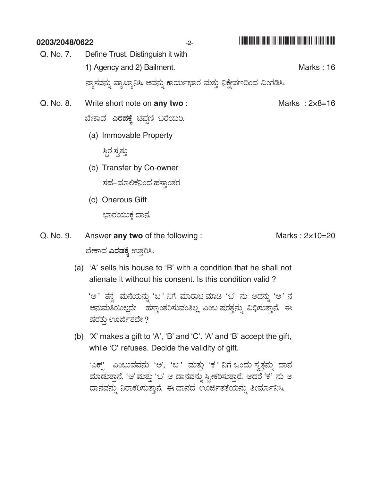| 0203/2048/0622 |                                                                       | $-2-$ |                          |
|----------------|-----------------------------------------------------------------------|-------|--------------------------|
| Q. No. 7.      | Define Trust. Distinguish it with                                     |       |                          |
|                | 1) Agency and 2) Bailment.                                            |       | Marks: 16                |
|                | ನ್ಯಾಸವನ್ನು ವ್ಯಾಖ್ಯಾನಿಸಿ. ಅದನ್ನು ಕಾರ್ಯಭಾರ ಮತ್ತು ನಿಕ್ಷೇಪಣದಿಂದ ವಿಂಗಡಿಸಿ. |       |                          |
| Q. No. 8.      | Write short note on any two:                                          |       | Marks: $2 \times 8 = 16$ |
|                | ಬೇಕಾದ <b>ಎರಡಕ್ಕೆ</b> ಟಿಪ್ಷಣಿ ಬರೆಯಿರಿ.                                 |       |                          |
|                | (a) Immovable Property                                                |       |                          |
|                | ಸ್ಥಿರ ಸ್ವತ್ತು                                                         |       |                          |
|                | (b) Transfer by Co-owner                                              |       |                          |
|                | ಸಹ–ಮಾಲಿಕನಿಂದ ಹಸ್ತಾಂತರ                                                 |       |                          |
|                | (c) Onerous Gift                                                      |       |                          |
|                | ಭಾರಯುಕ ದಾನ.                                                           |       |                          |

Answer any two of the following: Marks: 2×10=20 Q. No. 9. ಬೇಕಾದ **ಎರಡಕ್ಕೆ** ಉತ್ತರಿಸಿ.

> (a) 'A' sells his house to 'B' with a condition that he shall not alienate it without his consent. Is this condition valid?

'ಅ' ತನ್ನ ಮನೆಯನ್ನು 'ಬ' ನಿಗೆ ಮಾರಾಟ ಮಾಡಿ 'ಬ' ನು ಅದನ್ನು 'ಅ' ನ ಆನುಮತಿಯಿಲ್ಲದೇ ಹಸ್ತಾಂತರಿಸುವಂತಿಲ್ಲ ಎಂಬ ಷರತ್ತನ್ನು ವಿಧಿಸುತ್ತಾನೆ. ಈ ಷರತ್ತು ಊರ್ಜಿತವೇ ?

(b) 'X' makes a gift to 'A', 'B' and 'C'. 'A' and 'B' accept the gift, while 'C' refuses. Decide the validity of gift.

'ಎಕ್ಸ್' ಎಂಬುವವನು 'ಆ', 'ಬ ' ಮತ್ತು 'ಕ ' ನಿಗೆ ಒಂದು ಸ್ವತ್ತನ್ನು ದಾನ ಮಾಡುತ್ತಾನೆ. 'ಆ' ಮತ್ತು 'ಬ' ಆ ದಾನವನ್ನು ಸ್ವೀಕರಿಸುತ್ತಾರೆ. ಆದರೆ 'ಕ' ನು ಆ ದಾನವನ್ನು ನಿರಾಕರಿಸುತ್ತಾನೆ. ಈ ದಾನದ ಊರ್ಜಿತತೆಯನ್ನು ತೀರ್ಮಾನಿಸಿ.